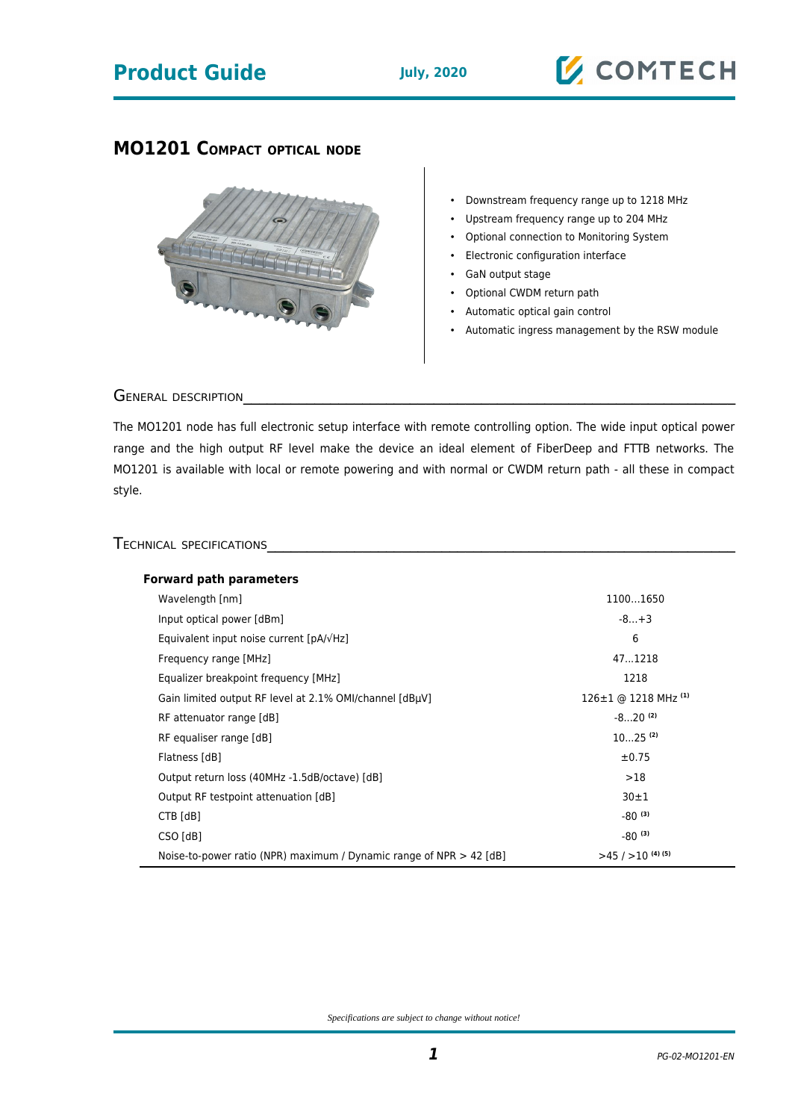## **Product Guide** July, 2020

### **MO1201 COMPACT OPTICAL NODE**



- Downstream frequency range up to 1218 MHz
- Upstream frequency range up to 204 MHz
- Optional connection to Monitoring System
- Electronic configuration interface
- GaN output stage
- Optional CWDM return path
- Automatic optical gain control
- Automatic ingress management by the RSW module

GENERAL DESCRIPTION

The MO1201 node has full electronic setup interface with remote controlling option. The wide input optical power range and the high output RF level make the device an ideal element of FiberDeep and FTTB networks. The MO1201 is available with local or remote powering and with normal or CWDM return path - all these in compact style.

### TECHNICAL SPECIFICATIONS\_\_\_\_\_\_\_\_\_\_\_\_\_\_\_\_\_\_\_\_\_\_\_\_\_\_\_\_\_\_\_\_\_\_\_\_\_\_\_\_\_\_\_\_\_\_\_\_\_\_\_\_\_\_\_\_\_\_\_

| <b>Forward path parameters</b>                                        |                                       |
|-----------------------------------------------------------------------|---------------------------------------|
| Wavelength [nm]                                                       | 11001650                              |
| Input optical power [dBm]                                             | $-8+3$                                |
| Equivalent input noise current $[pA/\sqrt{Hz}]$                       | 6                                     |
| Frequency range [MHz]                                                 | 471218                                |
| Equalizer breakpoint frequency [MHz]                                  | 1218                                  |
| Gain limited output RF level at 2.1% OMI/channel [dBµV]               | $126 \pm 1$ @ 1218 MHz <sup>(1)</sup> |
| RF attenuator range [dB]                                              | $-820^{(2)}$                          |
| RF equaliser range [dB]                                               | $1025$ <sup>(2)</sup>                 |
| Flatness [dB]                                                         | ±0.75                                 |
| Output return loss (40MHz -1.5dB/octave) [dB]                         | >18                                   |
| Output RF testpoint attenuation [dB]                                  | $30 + 1$                              |
| CTB [dB]                                                              | $-80^{(3)}$                           |
| CSO [dB]                                                              | $-80^{(3)}$                           |
| Noise-to-power ratio (NPR) maximum / Dynamic range of NPR $>$ 42 [dB] | $>45/$ > 10 $(4)(5)$                  |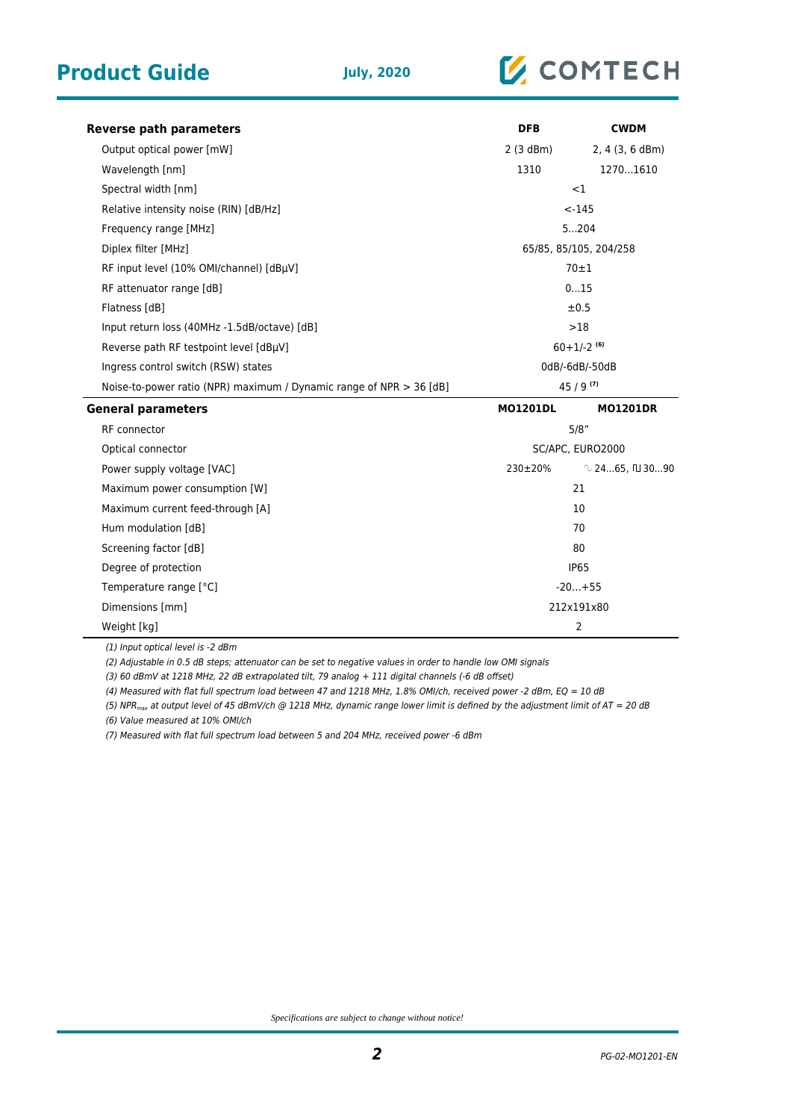

| <b>Reverse path parameters</b>                                      | <b>DFB</b>               | <b>CWDM</b>                 |
|---------------------------------------------------------------------|--------------------------|-----------------------------|
| Output optical power [mW]                                           | 2(3 dBm)                 | $2, 4$ (3, 6 dBm)           |
| Wavelength [nm]                                                     | 1310                     | 12701610                    |
| Spectral width [nm]                                                 |                          | <1                          |
| Relative intensity noise (RIN) [dB/Hz]                              |                          | $< -145$                    |
| Frequency range [MHz]                                               |                          | 5204                        |
| Diplex filter [MHz]                                                 |                          | 65/85, 85/105, 204/258      |
| RF input level (10% OMI/channel) [dBµV]                             | 70±1                     |                             |
| RF attenuator range [dB]                                            | 015                      |                             |
| Flatness [dB]                                                       | ±0.5                     |                             |
| Input return loss (40MHz -1.5dB/octave) [dB]                        | >18                      |                             |
| Reverse path RF testpoint level [dBµV]                              | $60+1/-2$ <sup>(6)</sup> |                             |
| Ingress control switch (RSW) states                                 | 0dB/-6dB/-50dB           |                             |
| Noise-to-power ratio (NPR) maximum / Dynamic range of NPR > 36 [dB] | $45/9^{(7)}$             |                             |
| <b>General parameters</b>                                           | M01201DL                 | <b>MO1201DR</b>             |
| RF connector                                                        | 5/8"                     |                             |
| Optical connector                                                   |                          | SC/APC, EURO2000            |
| Power supply voltage [VAC]                                          | 230±20%                  | $\sqrt{2465}$ , $\Box$ 3090 |
| Maximum power consumption [W]                                       |                          | 21                          |
| Maximum current feed-through [A]                                    | 10                       |                             |
| Hum modulation [dB]                                                 | 70                       |                             |
| Screening factor [dB]                                               | 80                       |                             |
| Degree of protection                                                | <b>IP65</b>              |                             |
| Temperature range [°C]                                              | $-20+55$                 |                             |
| Dimensions [mm]                                                     | 212x191x80               |                             |
| Weight [kg]                                                         | 2                        |                             |

(1) Input optical level is -2 dBm

(2) Adjustable in 0.5 dB steps; attenuator can be set to negative values in order to handle low OMI signals

(3) 60 dBmV at 1218 MHz, 22 dB extrapolated tilt, 79 analog + 111 digital channels (-6 dB offset)

(4) Measured with flat full spectrum load between 47 and 1218 MHz, 1.8% OMI/ch, received power -2 dBm, EQ = 10 dB

(5) NPR<sub>max</sub> at output level of 45 dBmV/ch @ 1218 MHz, dynamic range lower limit is defined by the adjustment limit of AT = 20 dB (6) Value measured at 10% OMI/ch

(7) Measured with flat full spectrum load between 5 and 204 MHz, received power -6 dBm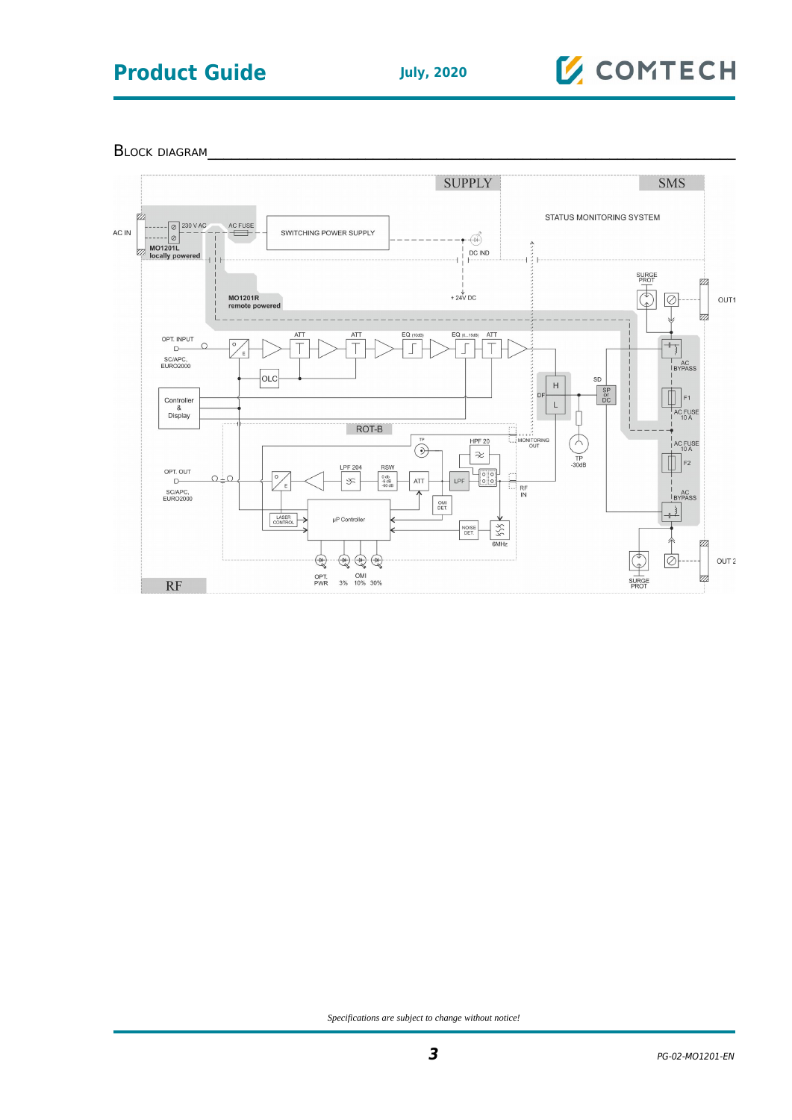# **Product Guide** July, 2020



BLOCK DIAGRAM



*Specifications are subject to change without notice!*